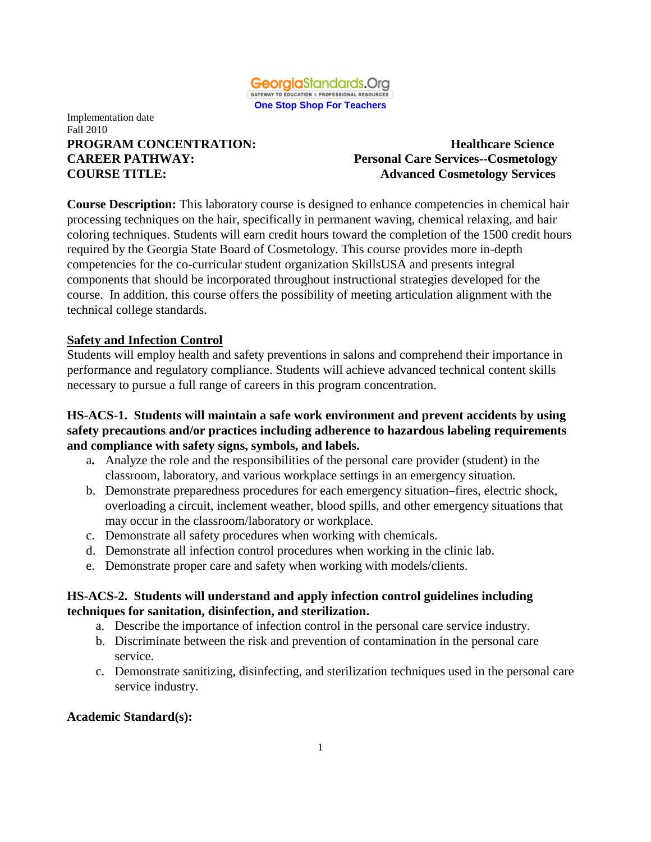

**PROGRAM CONCENTRATION:** Healthcare Science **CAREER PATHWAY: Personal Care Services--Cosmetology COURSE TITLE: Advanced Cosmetology Services**

**Course Description:** This laboratory course is designed to enhance competencies in chemical hair processing techniques on the hair, specifically in permanent waving, chemical relaxing, and hair coloring techniques. Students will earn credit hours toward the completion of the 1500 credit hours required by the Georgia State Board of Cosmetology. This course provides more in-depth competencies for the co-curricular student organization SkillsUSA and presents integral components that should be incorporated throughout instructional strategies developed for the course. In addition, this course offers the possibility of meeting articulation alignment with the technical college standards.

#### **Safety and Infection Control**

Students will employ health and safety preventions in salons and comprehend their importance in performance and regulatory compliance. Students will achieve advanced technical content skills necessary to pursue a full range of careers in this program concentration.

## **HS-ACS-1. Students will maintain a safe work environment and prevent accidents by using safety precautions and/or practices including adherence to hazardous labeling requirements and compliance with safety signs, symbols, and labels.**

- a**.** Analyze the role and the responsibilities of the personal care provider (student) in the classroom, laboratory, and various workplace settings in an emergency situation*.*
- b. Demonstrate preparedness procedures for each emergency situation–fires, electric shock, overloading a circuit, inclement weather, blood spills, and other emergency situations that may occur in the classroom/laboratory or workplace.
- c. Demonstrate all safety procedures when working with chemicals.
- d. Demonstrate all infection control procedures when working in the clinic lab.
- e. Demonstrate proper care and safety when working with models/clients.

## **HS-ACS-2. Students will understand and apply infection control guidelines including techniques for sanitation, disinfection, and sterilization.**

- a. Describe the importance of infection control in the personal care service industry.
- b. Discriminate between the risk and prevention of contamination in the personal care service.
- c. Demonstrate sanitizing, disinfecting, and sterilization techniques used in the personal care service industry.

## **Academic Standard(s):**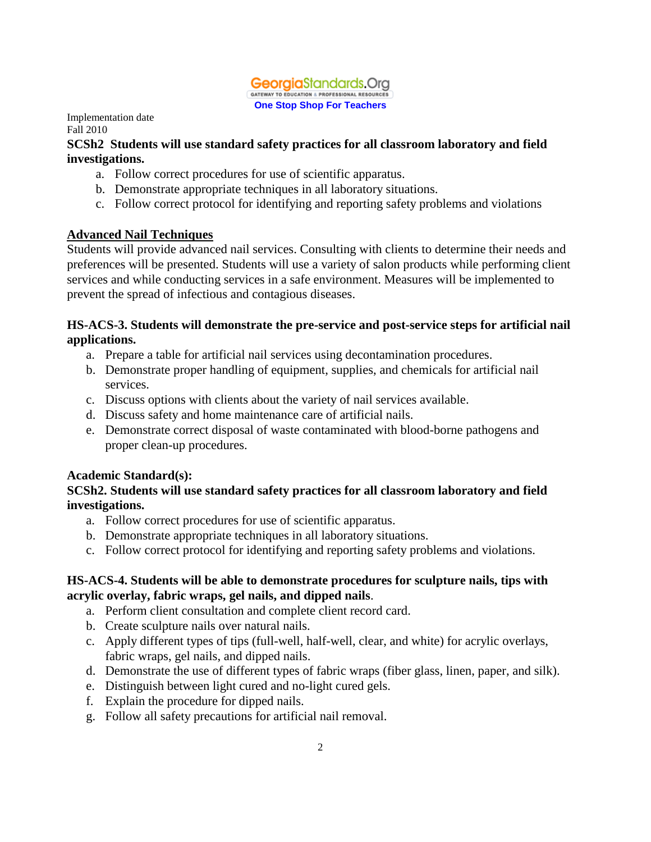

## **SCSh2 Students will use standard safety practices for all classroom laboratory and field investigations.**

- a. Follow correct procedures for use of scientific apparatus.
- b. Demonstrate appropriate techniques in all laboratory situations.
- c. Follow correct protocol for identifying and reporting safety problems and violations

# **Advanced Nail Techniques**

Students will provide advanced nail services. Consulting with clients to determine their needs and preferences will be presented. Students will use a variety of salon products while performing client services and while conducting services in a safe environment. Measures will be implemented to prevent the spread of infectious and contagious diseases.

## **HS-ACS-3. Students will demonstrate the pre-service and post-service steps for artificial nail applications.**

- a. Prepare a table for artificial nail services using decontamination procedures.
- b. Demonstrate proper handling of equipment, supplies, and chemicals for artificial nail services.
- c. Discuss options with clients about the variety of nail services available.
- d. Discuss safety and home maintenance care of artificial nails.
- e. Demonstrate correct disposal of waste contaminated with blood-borne pathogens and proper clean-up procedures.

## **Academic Standard(s):**

## **SCSh2. Students will use standard safety practices for all classroom laboratory and field investigations.**

- a. Follow correct procedures for use of scientific apparatus.
- b. Demonstrate appropriate techniques in all laboratory situations.
- c. Follow correct protocol for identifying and reporting safety problems and violations.

## **HS-ACS-4. Students will be able to demonstrate procedures for sculpture nails, tips with acrylic overlay, fabric wraps, gel nails, and dipped nails**.

- a. Perform client consultation and complete client record card.
- b. Create sculpture nails over natural nails.
- c. Apply different types of tips (full-well, half-well, clear, and white) for acrylic overlays, fabric wraps, gel nails, and dipped nails.
- d. Demonstrate the use of different types of fabric wraps (fiber glass, linen, paper, and silk).
- e. Distinguish between light cured and no-light cured gels.
- f. Explain the procedure for dipped nails.
- g. Follow all safety precautions for artificial nail removal.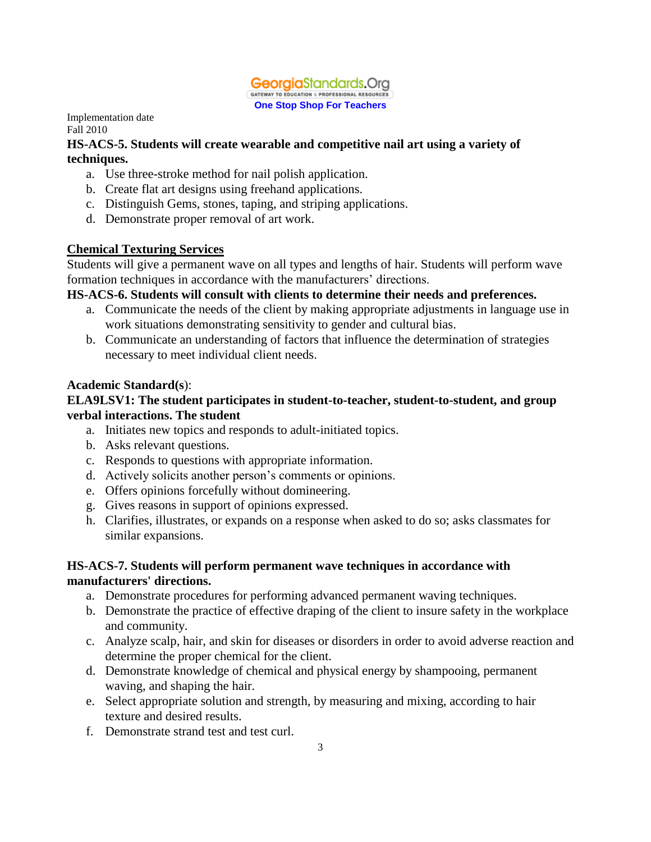

# **HS-ACS-5. Students will create wearable and competitive nail art using a variety of techniques.**

- a. Use three-stroke method for nail polish application.
- b. Create flat art designs using freehand applications.
- c. Distinguish Gems, stones, taping, and striping applications.
- d. Demonstrate proper removal of art work.

#### **Chemical Texturing Services**

Students will give a permanent wave on all types and lengths of hair. Students will perform wave formation techniques in accordance with the manufacturers' directions.

#### **HS-ACS-6. Students will consult with clients to determine their needs and preferences.**

- a. Communicate the needs of the client by making appropriate adjustments in language use in work situations demonstrating sensitivity to gender and cultural bias.
- b. Communicate an understanding of factors that influence the determination of strategies necessary to meet individual client needs.

#### **Academic Standard(s**):

#### **ELA9LSV1: The student participates in student-to-teacher, student-to-student, and group verbal interactions. The student**

- a. Initiates new topics and responds to adult-initiated topics.
- b. Asks relevant questions.
- c. Responds to questions with appropriate information.
- d. Actively solicits another person's comments or opinions.
- e. Offers opinions forcefully without domineering.
- g. Gives reasons in support of opinions expressed.
- h. Clarifies, illustrates, or expands on a response when asked to do so; asks classmates for similar expansions.

#### **HS-ACS-7. Students will perform permanent wave techniques in accordance with manufacturers' directions.**

- a. Demonstrate procedures for performing advanced permanent waving techniques.
- b. Demonstrate the practice of effective draping of the client to insure safety in the workplace and community.
- c. Analyze scalp, hair, and skin for diseases or disorders in order to avoid adverse reaction and determine the proper chemical for the client.
- d. Demonstrate knowledge of chemical and physical energy by shampooing, permanent waving, and shaping the hair.
- e. Select appropriate solution and strength, by measuring and mixing, according to hair texture and desired results.
- f. Demonstrate strand test and test curl.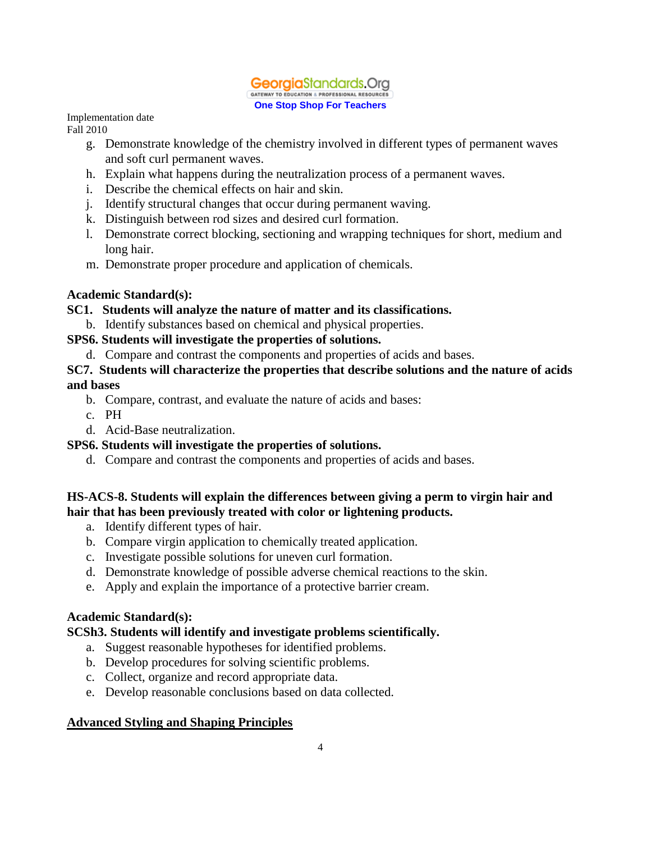

Implementation date

Fall 2010

- g. Demonstrate knowledge of the chemistry involved in different types of permanent waves and soft curl permanent waves.
- h. Explain what happens during the neutralization process of a permanent waves.
- i. Describe the chemical effects on hair and skin.
- j. Identify structural changes that occur during permanent waving.
- k. Distinguish between rod sizes and desired curl formation.
- l. Demonstrate correct blocking, sectioning and wrapping techniques for short, medium and long hair.
- m. Demonstrate proper procedure and application of chemicals.

# **Academic Standard(s):**

# **SC1. Students will analyze the nature of matter and its classifications.**

b. Identify substances based on chemical and physical properties.

# **SPS6. Students will investigate the properties of solutions.**

d. Compare and contrast the components and properties of acids and bases.

## **SC7. Students will characterize the properties that describe solutions and the nature of acids and bases**

- b. Compare, contrast, and evaluate the nature of acids and bases:
- c. PH
- d. Acid-Base neutralization.

# **SPS6. Students will investigate the properties of solutions.**

d. Compare and contrast the components and properties of acids and bases.

# **HS-ACS-8. Students will explain the differences between giving a perm to virgin hair and hair that has been previously treated with color or lightening products.**

- a. Identify different types of hair.
- b. Compare virgin application to chemically treated application.
- c. Investigate possible solutions for uneven curl formation.
- d. Demonstrate knowledge of possible adverse chemical reactions to the skin.
- e. Apply and explain the importance of a protective barrier cream.

# **Academic Standard(s):**

# **SCSh3. Students will identify and investigate problems scientifically.**

- a. Suggest reasonable hypotheses for identified problems.
- b. Develop procedures for solving scientific problems.
- c. Collect, organize and record appropriate data.
- e. Develop reasonable conclusions based on data collected.

# **Advanced Styling and Shaping Principles**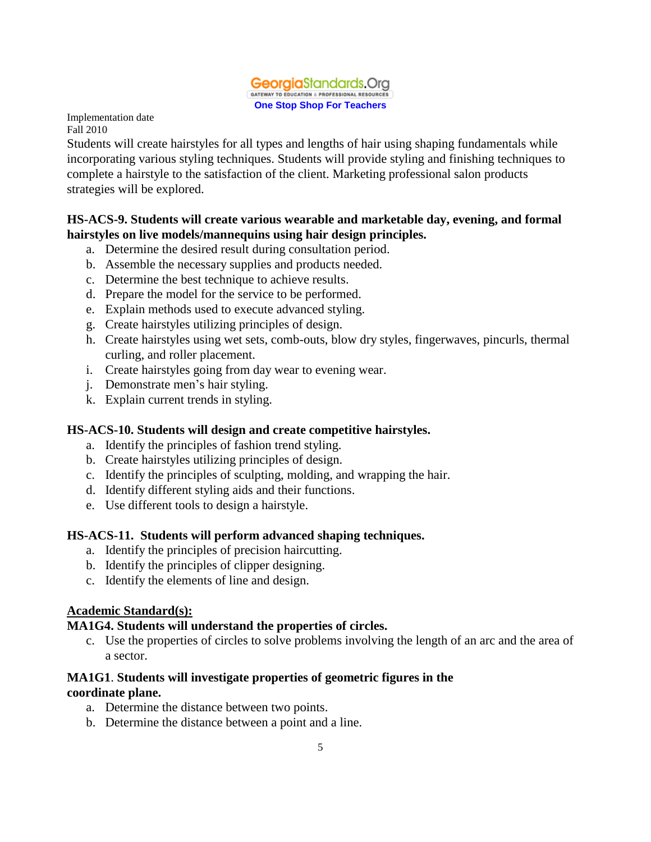

Students will create hairstyles for all types and lengths of hair using shaping fundamentals while incorporating various styling techniques. Students will provide styling and finishing techniques to complete a hairstyle to the satisfaction of the client. Marketing professional salon products strategies will be explored.

## **HS-ACS-9. Students will create various wearable and marketable day, evening, and formal hairstyles on live models/mannequins using hair design principles.**

- a. Determine the desired result during consultation period.
- b. Assemble the necessary supplies and products needed.
- c. Determine the best technique to achieve results.
- d. Prepare the model for the service to be performed.
- e. Explain methods used to execute advanced styling.
- g. Create hairstyles utilizing principles of design.
- h. Create hairstyles using wet sets, comb-outs, blow dry styles, fingerwaves, pincurls, thermal curling, and roller placement.
- i. Create hairstyles going from day wear to evening wear.
- j. Demonstrate men's hair styling.
- k. Explain current trends in styling.

## **HS-ACS-10. Students will design and create competitive hairstyles.**

- a. Identify the principles of fashion trend styling.
- b. Create hairstyles utilizing principles of design.
- c. Identify the principles of sculpting, molding, and wrapping the hair.
- d. Identify different styling aids and their functions.
- e. Use different tools to design a hairstyle.

## **HS-ACS-11. Students will perform advanced shaping techniques.**

- a. Identify the principles of precision haircutting.
- b. Identify the principles of clipper designing.
- c. Identify the elements of line and design.

## **Academic Standard(s):**

#### **MA1G4. Students will understand the properties of circles.**

c. Use the properties of circles to solve problems involving the length of an arc and the area of a sector.

## **MA1G1**. **Students will investigate properties of geometric figures in the coordinate plane.**

- a. Determine the distance between two points.
- b. Determine the distance between a point and a line.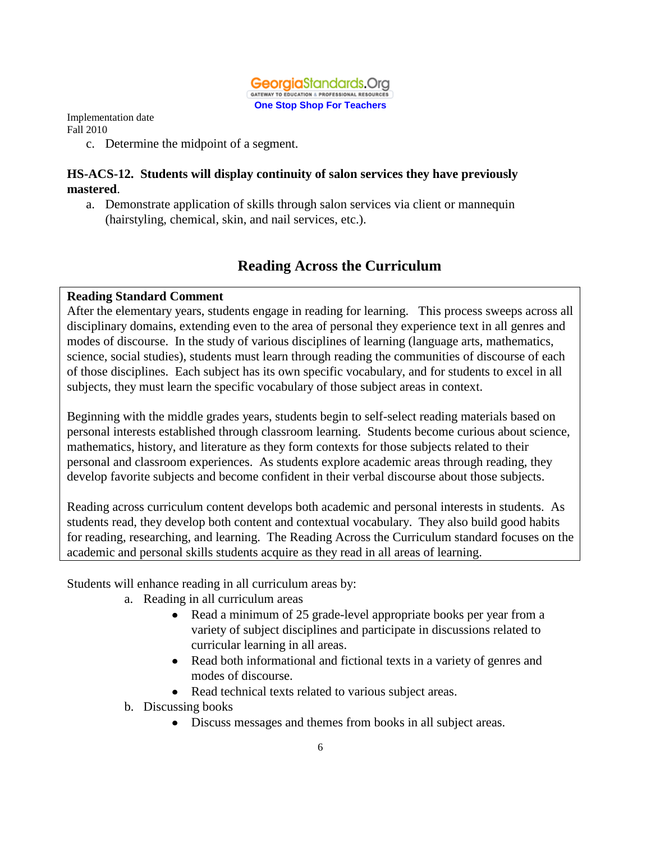

c. Determine the midpoint of a segment.

#### **HS-ACS-12. Students will display continuity of salon services they have previously mastered**.

a. Demonstrate application of skills through salon services via client or mannequin (hairstyling, chemical, skin, and nail services, etc.).

# **Reading Across the Curriculum**

#### **Reading Standard Comment**

After the elementary years, students engage in reading for learning. This process sweeps across all disciplinary domains, extending even to the area of personal they experience text in all genres and modes of discourse. In the study of various disciplines of learning (language arts, mathematics, science, social studies), students must learn through reading the communities of discourse of each of those disciplines. Each subject has its own specific vocabulary, and for students to excel in all subjects, they must learn the specific vocabulary of those subject areas in context.

Beginning with the middle grades years, students begin to self-select reading materials based on personal interests established through classroom learning. Students become curious about science, mathematics, history, and literature as they form contexts for those subjects related to their personal and classroom experiences. As students explore academic areas through reading, they develop favorite subjects and become confident in their verbal discourse about those subjects.

Reading across curriculum content develops both academic and personal interests in students. As students read, they develop both content and contextual vocabulary. They also build good habits for reading, researching, and learning. The Reading Across the Curriculum standard focuses on the academic and personal skills students acquire as they read in all areas of learning.

Students will enhance reading in all curriculum areas by:

- a. Reading in all curriculum areas
	- Read a minimum of 25 grade-level appropriate books per year from a variety of subject disciplines and participate in discussions related to curricular learning in all areas.
	- Read both informational and fictional texts in a variety of genres and modes of discourse.
	- Read technical texts related to various subject areas.
- b. Discussing books
	- Discuss messages and themes from books in all subject areas.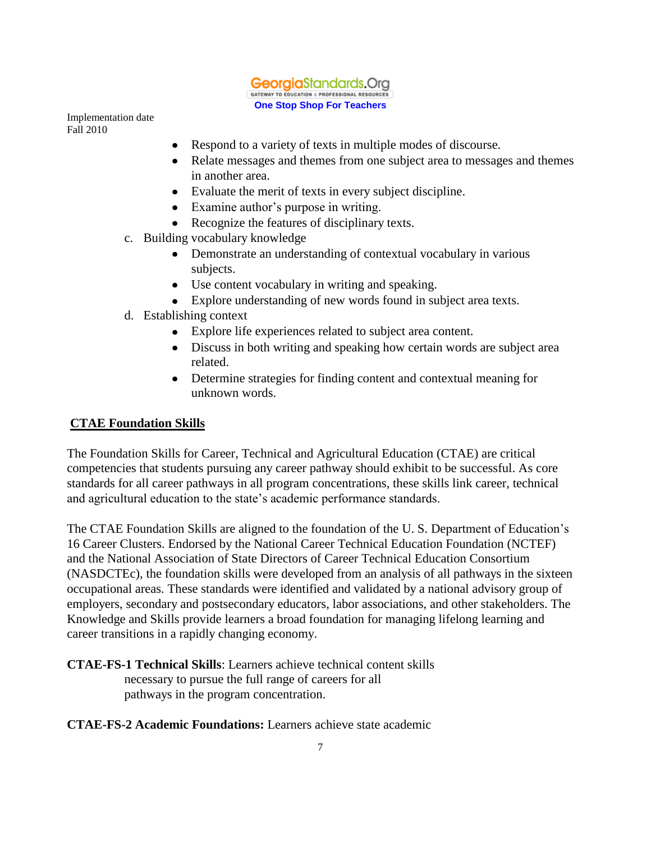

- Respond to a variety of texts in multiple modes of discourse.
- Relate messages and themes from one subject area to messages and themes  $\bullet$ in another area.
- Evaluate the merit of texts in every subject discipline.
- Examine author's purpose in writing.
- Recognize the features of disciplinary texts.
- c. Building vocabulary knowledge
	- Demonstrate an understanding of contextual vocabulary in various subjects.
	- Use content vocabulary in writing and speaking.
	- Explore understanding of new words found in subject area texts.
- d. Establishing context
	- Explore life experiences related to subject area content.
	- Discuss in both writing and speaking how certain words are subject area related.
	- Determine strategies for finding content and contextual meaning for unknown words.

#### **CTAE Foundation Skills**

The Foundation Skills for Career, Technical and Agricultural Education (CTAE) are critical competencies that students pursuing any career pathway should exhibit to be successful. As core standards for all career pathways in all program concentrations, these skills link career, technical and agricultural education to the state's academic performance standards.

The CTAE Foundation Skills are aligned to the foundation of the U. S. Department of Education's 16 Career Clusters. Endorsed by the National Career Technical Education Foundation (NCTEF) and the National Association of State Directors of Career Technical Education Consortium (NASDCTEc), the foundation skills were developed from an analysis of all pathways in the sixteen occupational areas. These standards were identified and validated by a national advisory group of employers, secondary and postsecondary educators, labor associations, and other stakeholders. The Knowledge and Skills provide learners a broad foundation for managing lifelong learning and career transitions in a rapidly changing economy.

**CTAE-FS-1 Technical Skills**: Learners achieve technical content skills necessary to pursue the full range of careers for all pathways in the program concentration.

#### **CTAE-FS-2 Academic Foundations:** Learners achieve state academic